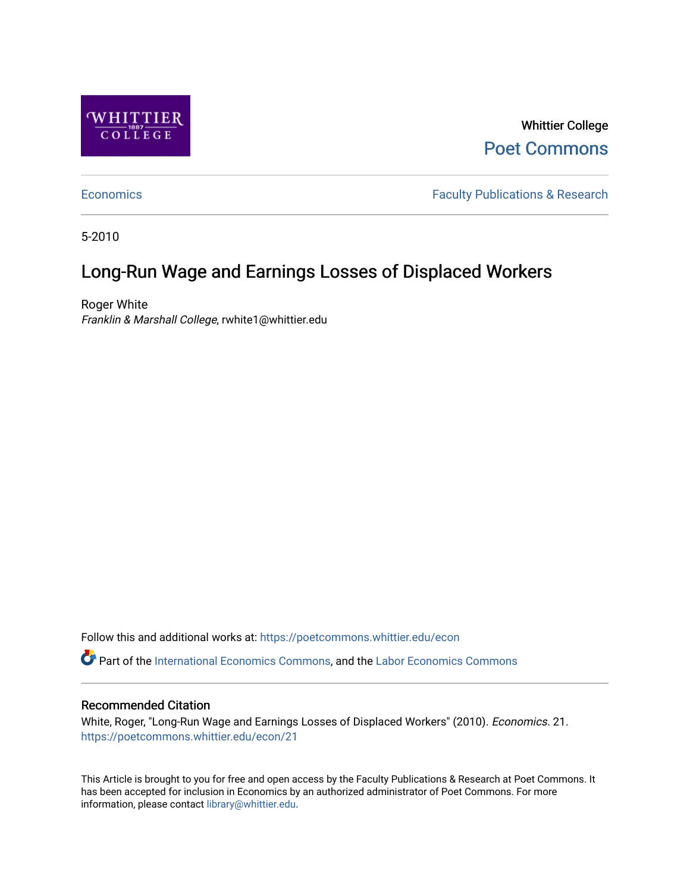

Whittier College [Poet Commons](https://poetcommons.whittier.edu/) 

[Economics](https://poetcommons.whittier.edu/econ) **Faculty Publications & Research** 

5-2010

### Long-Run Wage and Earnings Losses of Displaced Workers

Roger White Franklin & Marshall College, rwhite1@whittier.edu

Follow this and additional works at: [https://poetcommons.whittier.edu/econ](https://poetcommons.whittier.edu/econ?utm_source=poetcommons.whittier.edu%2Fecon%2F21&utm_medium=PDF&utm_campaign=PDFCoverPages)

Part of the [International Economics Commons,](http://network.bepress.com/hgg/discipline/348?utm_source=poetcommons.whittier.edu%2Fecon%2F21&utm_medium=PDF&utm_campaign=PDFCoverPages) and the [Labor Economics Commons](http://network.bepress.com/hgg/discipline/349?utm_source=poetcommons.whittier.edu%2Fecon%2F21&utm_medium=PDF&utm_campaign=PDFCoverPages) 

### Recommended Citation

White, Roger, "Long-Run Wage and Earnings Losses of Displaced Workers" (2010). Economics. 21. [https://poetcommons.whittier.edu/econ/21](https://poetcommons.whittier.edu/econ/21?utm_source=poetcommons.whittier.edu%2Fecon%2F21&utm_medium=PDF&utm_campaign=PDFCoverPages) 

This Article is brought to you for free and open access by the Faculty Publications & Research at Poet Commons. It has been accepted for inclusion in Economics by an authorized administrator of Poet Commons. For more information, please contact [library@whittier.edu.](mailto:library@whittier.edu)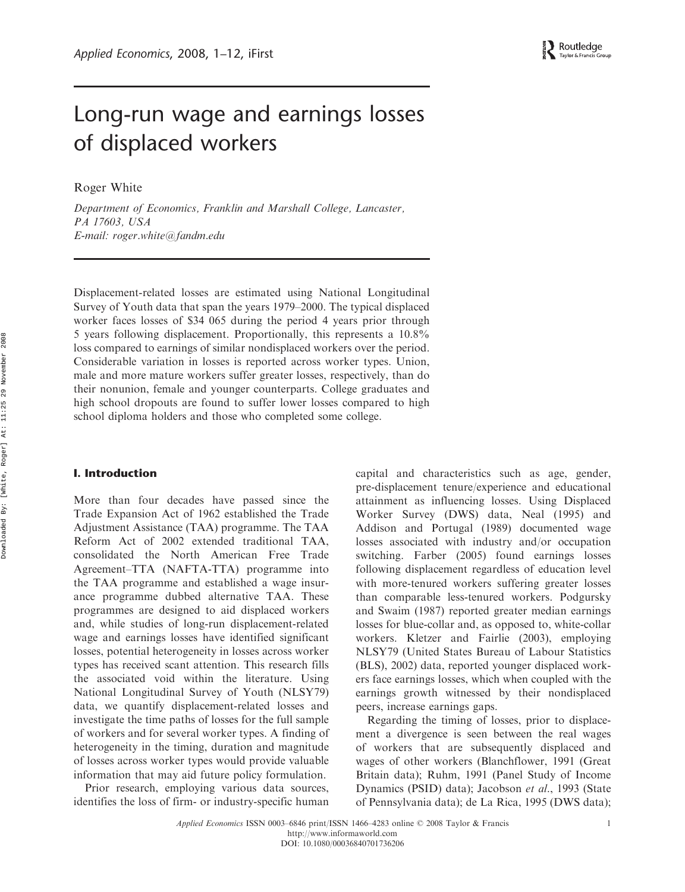### Long-run wage and earnings losses of displaced workers

Roger White

Department of Economics, Franklin and Marshall College, Lancaster, PA 17603, USA E-mail: roger.white@fandm.edu

Displacement-related losses are estimated using National Longitudinal Survey of Youth data that span the years 1979–2000. The typical displaced worker faces losses of \$34 065 during the period 4 years prior through 5 years following displacement. Proportionally, this represents a 10.8% loss compared to earnings of similar nondisplaced workers over the period. Considerable variation in losses is reported across worker types. Union, male and more mature workers suffer greater losses, respectively, than do their nonunion, female and younger counterparts. College graduates and high school dropouts are found to suffer lower losses compared to high school diploma holders and those who completed some college.

### I. Introduction

More than four decades have passed since the Trade Expansion Act of 1962 established the Trade Adjustment Assistance (TAA) programme. The TAA Reform Act of 2002 extended traditional TAA, consolidated the North American Free Trade Agreement–TTA (NAFTA-TTA) programme into the TAA programme and established a wage insurance programme dubbed alternative TAA. These programmes are designed to aid displaced workers and, while studies of long-run displacement-related wage and earnings losses have identified significant losses, potential heterogeneity in losses across worker types has received scant attention. This research fills the associated void within the literature. Using National Longitudinal Survey of Youth (NLSY79) data, we quantify displacement-related losses and investigate the time paths of losses for the full sample of workers and for several worker types. A finding of heterogeneity in the timing, duration and magnitude of losses across worker types would provide valuable information that may aid future policy formulation.

Prior research, employing various data sources, identifies the loss of firm- or industry-specific human capital and characteristics such as age, gender, pre-displacement tenure/experience and educational attainment as influencing losses. Using Displaced Worker Survey (DWS) data, Neal (1995) and Addison and Portugal (1989) documented wage losses associated with industry and/or occupation switching. Farber (2005) found earnings losses following displacement regardless of education level with more-tenured workers suffering greater losses than comparable less-tenured workers. Podgursky and Swaim (1987) reported greater median earnings losses for blue-collar and, as opposed to, white-collar workers. Kletzer and Fairlie (2003), employing NLSY79 (United States Bureau of Labour Statistics (BLS), 2002) data, reported younger displaced workers face earnings losses, which when coupled with the earnings growth witnessed by their nondisplaced peers, increase earnings gaps.

Regarding the timing of losses, prior to displacement a divergence is seen between the real wages of workers that are subsequently displaced and wages of other workers (Blanchflower, 1991 (Great Britain data); Ruhm, 1991 (Panel Study of Income Dynamics (PSID) data); Jacobson et al., 1993 (State of Pennsylvania data); de La Rica, 1995 (DWS data);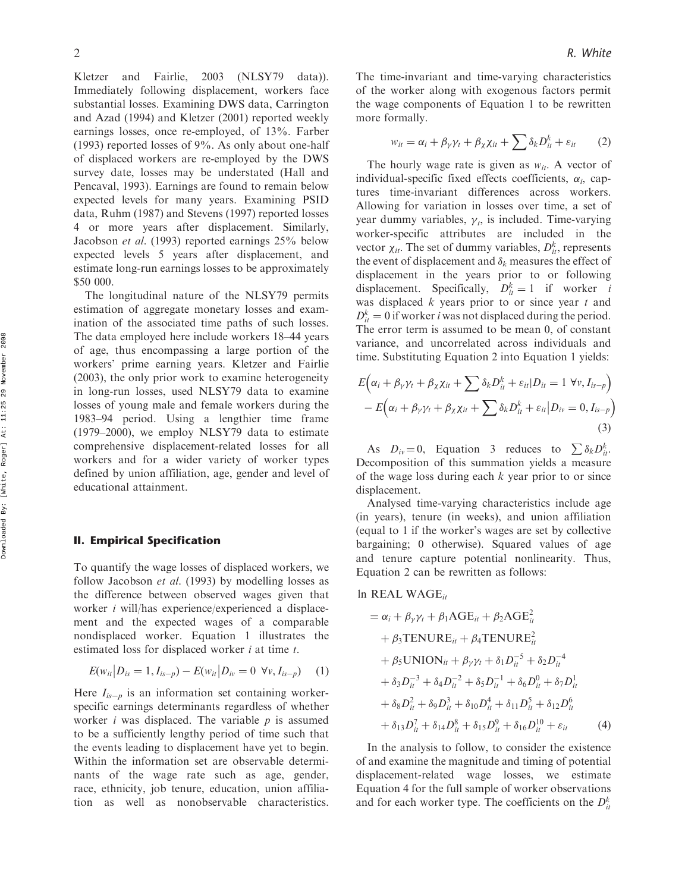Kletzer and Fairlie, 2003 (NLSY79 data)). Immediately following displacement, workers face substantial losses. Examining DWS data, Carrington and Azad (1994) and Kletzer (2001) reported weekly earnings losses, once re-employed, of 13%. Farber (1993) reported losses of 9%. As only about one-half of displaced workers are re-employed by the DWS survey date, losses may be understated (Hall and Pencaval, 1993). Earnings are found to remain below expected levels for many years. Examining PSID data, Ruhm (1987) and Stevens (1997) reported losses 4 or more years after displacement. Similarly, Jacobson et al. (1993) reported earnings 25% below expected levels 5 years after displacement, and estimate long-run earnings losses to be approximately \$50 000.

The longitudinal nature of the NLSY79 permits estimation of aggregate monetary losses and examination of the associated time paths of such losses. The data employed here include workers 18–44 years of age, thus encompassing a large portion of the workers' prime earning years. Kletzer and Fairlie (2003), the only prior work to examine heterogeneity in long-run losses, used NLSY79 data to examine losses of young male and female workers during the 1983–94 period. Using a lengthier time frame (1979–2000), we employ NLSY79 data to estimate comprehensive displacement-related losses for all workers and for a wider variety of worker types defined by union affiliation, age, gender and level of educational attainment.

### II. Empirical Specification

To quantify the wage losses of displaced workers, we follow Jacobson et al. (1993) by modelling losses as the difference between observed wages given that worker i will/has experience/experienced a displacement and the expected wages of a comparable nondisplaced worker. Equation 1 illustrates the estimated loss for displaced worker *i* at time *t*.

$$
E(w_{it}|D_{is}=1, I_{is-p}) - E(w_{it}|D_{iv}=0 \ \forall v, I_{is-p}) \tag{1}
$$

Here  $I_{is-p}$  is an information set containing workerspecific earnings determinants regardless of whether worker *i* was displaced. The variable  $p$  is assumed to be a sufficiently lengthy period of time such that the events leading to displacement have yet to begin. Within the information set are observable determinants of the wage rate such as age, gender, race, ethnicity, job tenure, education, union affiliation as well as nonobservable characteristics. The time-invariant and time-varying characteristics of the worker along with exogenous factors permit the wage components of Equation 1 to be rewritten more formally.

$$
w_{it} = \alpha_i + \beta_{\gamma} \gamma_t + \beta_{\chi} \chi_{it} + \sum \delta_k D_{it}^k + \varepsilon_{it} \qquad (2)
$$

The hourly wage rate is given as  $w_{it}$ . A vector of individual-specific fixed effects coefficients,  $\alpha_i$ , captures time-invariant differences across workers. Allowing for variation in losses over time, a set of year dummy variables,  $\gamma_t$ , is included. Time-varying worker-specific attributes are included in the vector  $\chi_{it}$ . The set of dummy variables,  $D_{it}^k$ , represents the event of displacement and  $\delta_k$  measures the effect of displacement in the years prior to or following displacement. Specifically,  $D_{it}^k = 1$  if worker *i* was displaced  $k$  years prior to or since year  $t$  and  $D_{it}^k = 0$  if worker *i* was not displaced during the period. The error term is assumed to be mean 0, of constant variance, and uncorrelated across individuals and time. Substituting Equation 2 into Equation 1 yields:

$$
E\Big(\alpha_i + \beta_{\gamma} \gamma_t + \beta_{\chi} \chi_{it} + \sum \delta_k D_{it}^k + \varepsilon_{it} | D_{it} = 1 \ \forall \nu, I_{is-p}\Big) - E\Big(\alpha_i + \beta_{\gamma} \gamma_t + \beta_{\chi} \chi_{it} + \sum \delta_k D_{it}^k + \varepsilon_{it} | D_{iv} = 0, I_{is-p}\Big)
$$
(3)

As  $D_{iv} = 0$ , Equation 3 reduces to  $\sum \delta_k D_{ii}^k$ . Decomposition of this summation yields a measure of the wage loss during each  $k$  year prior to or since displacement.

Analysed time-varying characteristics include age (in years), tenure (in weeks), and union affiliation (equal to 1 if the worker's wages are set by collective bargaining; 0 otherwise). Squared values of age and tenure capture potential nonlinearity. Thus, Equation 2 can be rewritten as follows:

### ln REAL WAGE $_{it}$

$$
= \alpha_i + \beta_{\gamma} \gamma_t + \beta_1 \text{AGE}_{it} + \beta_2 \text{AGE}_{it}^2
$$
  
+  $\beta_3 \text{TENURE}_{it} + \beta_4 \text{TENURE}_{it}^2$   
+  $\beta_5 \text{UNION}_{it} + \beta_{\gamma} \gamma_t + \delta_1 D_{it}^{-5} + \delta_2 D_{it}^{-4}$   
+  $\delta_3 D_{it}^{-3} + \delta_4 D_{it}^{-2} + \delta_5 D_{it}^{-1} + \delta_6 D_{it}^{0} + \delta_7 D_{it}^{1}$   
+  $\delta_8 D_{it}^{2} + \delta_9 D_{it}^{3} + \delta_{10} D_{it}^{4} + \delta_{11} D_{it}^{5} + \delta_{12} D_{it}^{6}$   
+  $\delta_{13} D_{it}^{7} + \delta_{14} D_{it}^{8} + \delta_{15} D_{it}^{9} + \delta_{16} D_{it}^{10} + \varepsilon_{it}$  (4)

In the analysis to follow, to consider the existence of and examine the magnitude and timing of potential displacement-related wage losses, we estimate Equation 4 for the full sample of worker observations and for each worker type. The coefficients on the  $D_{it}^k$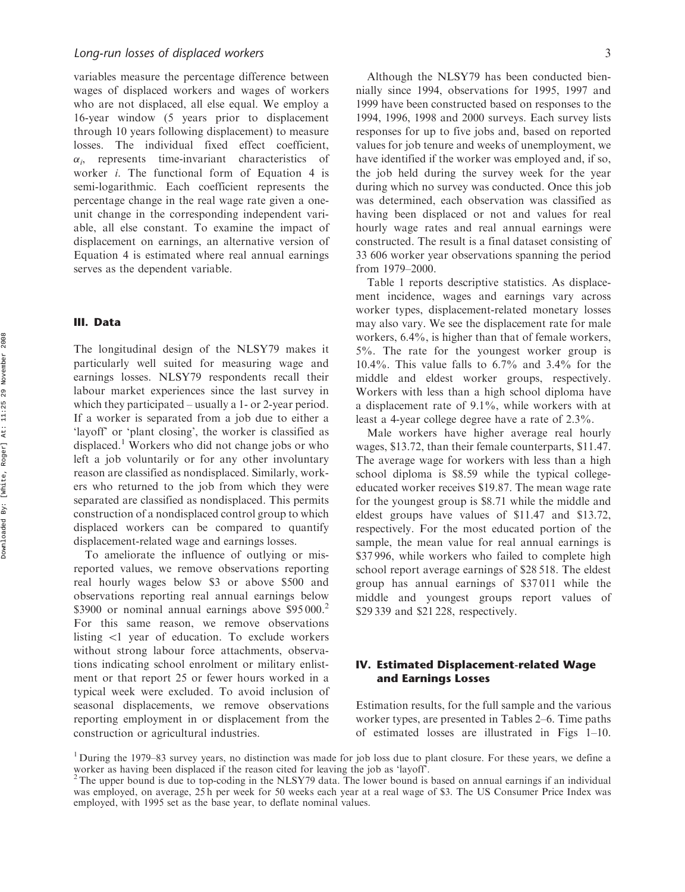variables measure the percentage difference between wages of displaced workers and wages of workers who are not displaced, all else equal. We employ a 16-year window (5 years prior to displacement through 10 years following displacement) to measure losses. The individual fixed effect coefficient,  $\alpha_i$ , represents time-invariant characteristics of worker i. The functional form of Equation 4 is semi-logarithmic. Each coefficient represents the percentage change in the real wage rate given a oneunit change in the corresponding independent variable, all else constant. To examine the impact of displacement on earnings, an alternative version of Equation 4 is estimated where real annual earnings serves as the dependent variable.

### III. Data

The longitudinal design of the NLSY79 makes it particularly well suited for measuring wage and earnings losses. NLSY79 respondents recall their labour market experiences since the last survey in which they participated – usually a 1- or 2-year period. If a worker is separated from a job due to either a 'layoff' or 'plant closing', the worker is classified as displaced.<sup>1</sup> Workers who did not change jobs or who left a job voluntarily or for any other involuntary reason are classified as nondisplaced. Similarly, workers who returned to the job from which they were separated are classified as nondisplaced. This permits construction of a nondisplaced control group to which displaced workers can be compared to quantify displacement-related wage and earnings losses.

To ameliorate the influence of outlying or misreported values, we remove observations reporting real hourly wages below \$3 or above \$500 and observations reporting real annual earnings below \$3900 or nominal annual earnings above \$95000.<sup>2</sup> For this same reason, we remove observations listing *5*1 year of education. To exclude workers without strong labour force attachments, observations indicating school enrolment or military enlistment or that report 25 or fewer hours worked in a typical week were excluded. To avoid inclusion of seasonal displacements, we remove observations reporting employment in or displacement from the construction or agricultural industries.

Although the NLSY79 has been conducted biennially since 1994, observations for 1995, 1997 and 1999 have been constructed based on responses to the 1994, 1996, 1998 and 2000 surveys. Each survey lists responses for up to five jobs and, based on reported values for job tenure and weeks of unemployment, we have identified if the worker was employed and, if so, the job held during the survey week for the year during which no survey was conducted. Once this job was determined, each observation was classified as having been displaced or not and values for real hourly wage rates and real annual earnings were constructed. The result is a final dataset consisting of 33 606 worker year observations spanning the period from 1979–2000.

Table 1 reports descriptive statistics. As displacement incidence, wages and earnings vary across worker types, displacement-related monetary losses may also vary. We see the displacement rate for male workers, 6.4%, is higher than that of female workers, 5%. The rate for the youngest worker group is 10.4%. This value falls to 6.7% and 3.4% for the middle and eldest worker groups, respectively. Workers with less than a high school diploma have a displacement rate of 9.1%, while workers with at least a 4-year college degree have a rate of 2.3%.

Male workers have higher average real hourly wages, \$13.72, than their female counterparts, \$11.47. The average wage for workers with less than a high school diploma is \$8.59 while the typical collegeeducated worker receives \$19.87. The mean wage rate for the youngest group is \$8.71 while the middle and eldest groups have values of \$11.47 and \$13.72, respectively. For the most educated portion of the sample, the mean value for real annual earnings is \$37 996, while workers who failed to complete high school report average earnings of \$28 518. The eldest group has annual earnings of \$37 011 while the middle and youngest groups report values of \$29 339 and \$21 228, respectively.

### IV. Estimated Displacement-related Wage and Earnings Losses

Estimation results, for the full sample and the various worker types, are presented in Tables 2–6. Time paths of estimated losses are illustrated in Figs 1–10.

<sup>1</sup> During the 1979–83 survey years, no distinction was made for job loss due to plant closure. For these years, we define a worker as having been displaced if the reason cited for leaving the job as 'layoff'.

 $2$ The upper bound is due to top-coding in the NLSY79 data. The lower bound is based on annual earnings if an individual was employed, on average, 25 h per week for 50 weeks each year at a real wage of \$3. The US Consumer Price Index was employed, with 1995 set as the base year, to deflate nominal values.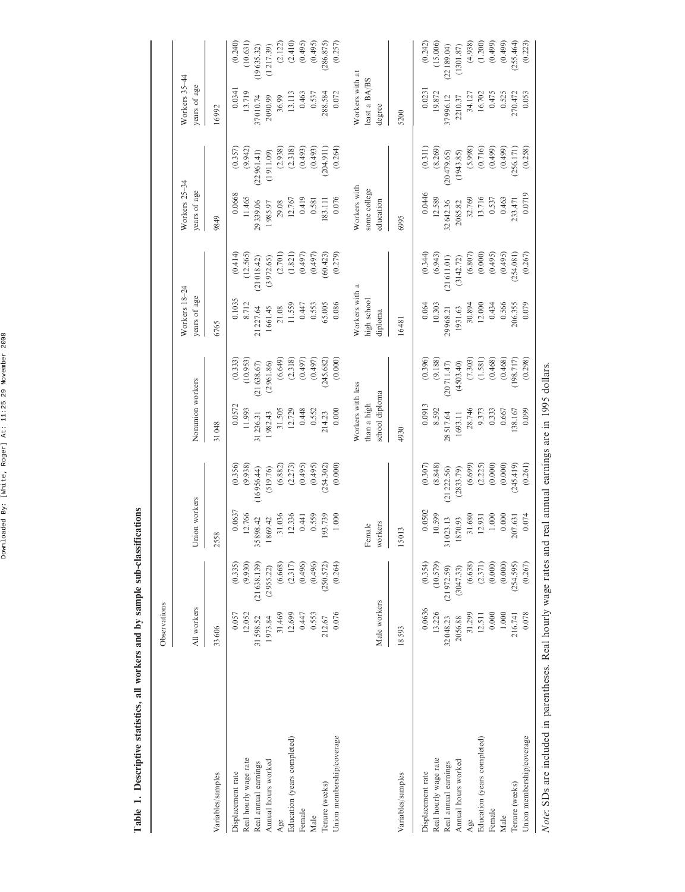Table 1. Descriptive statistics, all workers and by sample sub-classifications Table 1. Descriptive statistics, all workers and by sample sub-classifications

 $\mathbf{l}$ 

|                                                                   | Observations |             |               |                                           |                   |            |                               |            |                               |            |                               |            |
|-------------------------------------------------------------------|--------------|-------------|---------------|-------------------------------------------|-------------------|------------|-------------------------------|------------|-------------------------------|------------|-------------------------------|------------|
|                                                                   | All workers  |             | Union workers |                                           | Nonunion workers  |            | Workers 18-24<br>years of age |            | Workers 25-34<br>years of age |            | Workers 35-44<br>years of age |            |
| Variables/samples                                                 | 33606        |             | 2558          |                                           | 31048             |            | 6765                          |            | 9849                          |            | 16992                         |            |
|                                                                   |              |             |               |                                           |                   |            |                               |            |                               |            |                               |            |
| Displacement rate                                                 | 0.057        | (0.335)     | 0.0637        | (0.356)                                   | 0.0572            | (0.333)    | 0.1035                        | (0.414)    | 0.0668                        | (0.357)    | 0.0341                        | (0.240)    |
| Real hourly wage rate                                             | 12.052       | (9.930)     | 12.766        | (9.938)                                   | 11.993            | (10.953)   | 8.712                         | (12.565)   | 11.465                        | (9.942)    | 13.719                        | (10.631)   |
| Real annual earnings                                              | 31598.52     | (21638.139) | 35898.42      | (16956.44)                                | 31236.31          | (21638.67) | 21227.64                      | (21018.42) | 29 339.06                     | (22961.41) | 37010.74                      | (19635.32) |
| Annual hours worked                                               | 1973.84      | (2955.22)   | 869.42        | (519.76)                                  | 1982.43           | (2961.86)  | 1661.45                       | (3972.65)  | 1985.97                       | (1911.09)  | 2090.99                       | (1217.39)  |
| Age                                                               | 31.469       | (6.668)     | 31.036        | (6.882)                                   | 31.505            | (6.649)    | 21.08                         | (2.701)    | 29.08                         | (2.938)    | 36.99                         | (2.122)    |
|                                                                   |              |             |               |                                           |                   |            |                               |            |                               |            |                               |            |
| Education (years completed)                                       | 12.699       | (2.317)     | 12.336        | (2.273)                                   | 12.729            | (2.318)    | 11.559                        | (1.821)    | 12.767                        | (2.318)    | 13.113                        | (2.410)    |
| Female                                                            | 0.447        | (0.496)     | 0.441         | (0.495)                                   | 0.448             | (0.497)    | 0.447                         | (0.497)    | 0.419                         | (0.493)    | 0.463                         | (0.495)    |
| Male                                                              | 0.553        | (0.496)     | 0.559         | (0.495)                                   | 0.552             | (0.497)    | 0.553                         | (0.497)    | 0.581                         | (0.493)    | 0.537                         | (0.495)    |
| Tenure (weeks)                                                    | 212.67       | (250.572)   | 193.739       | (254.302)                                 | 214.23            | 245.682)   | 65.005                        | (60.423)   | 183.111                       | (204.911)  | 288.584                       | (286.875)  |
| Union membership/coverage                                         | 0.076        | (0.264)     | 1.000         | (0.000)                                   | 0.000             | (0.000)    | 0.086                         | (0.279)    | 0.076                         | (0.264)    | 0.072                         | (0.257)    |
|                                                                   |              |             |               |                                           |                   |            |                               |            |                               |            |                               |            |
|                                                                   |              |             |               |                                           | Workers with less |            | Workers with a                |            | Workers with                  |            | Workers with at               |            |
|                                                                   |              |             | Female        |                                           | than a high       |            | high school                   |            | some college                  |            | least a BA/BS                 |            |
|                                                                   | Male workers |             | workers       |                                           | school diploma    |            | diploma                       |            | education                     |            | degree                        |            |
|                                                                   |              |             |               |                                           |                   |            |                               |            |                               |            |                               |            |
| Variables/samples                                                 | 18593        |             | 15013         |                                           | 4930              |            | 16481                         |            | 6995                          |            | 5200                          |            |
| Displacement rate                                                 | 0.0636       | (0.354)     | 0.0502        | (0.307)                                   | 0.0913            | (0.396)    | 0.064                         | (0.344)    | 0.0446                        | (0.311)    | 0.0231                        | (0.242)    |
| Real hourly wage rate                                             | 13.226       | (10.579)    | 10.599        | (8.848)                                   | 8.592             | (9.188)    | 10.303                        | (6.943)    | 12.589                        | (8.269)    | 19.872                        | (15.006)   |
| Real annual earnings                                              | 32048.23     | (21972.59)  | 31023.13      | (21222.56)                                | 28 517.64         | (20711.47) | 29968.21                      | (21611.01) | 32642.36                      | (20479.65) | 37996.12                      | (22189.04) |
| Annual hours worked                                               | 2056.88      | (3047.33)   | 870.93        | (2833.79)                                 | 1693.11           | (4503.40)  | 1931.63                       | (3142.72)  | 2085.82                       | (1943.85)  | 2210.37                       | (1301.87)  |
| Age                                                               | 31.299       | (6.638)     | 31.680        | (6.699)                                   | 28.746            | (7.303)    | 30.894                        | (6.807)    | 32.769                        | (5.998)    | 34.127                        | (4.938)    |
| Education (years completed)                                       | 12.511       | (2.371)     | 12.931        | (2.225)                                   | 9.373             | (1.581)    | 12.000                        | (0.000)    | 13.716                        | (0.716)    | 16.702                        | (1.200)    |
| Female                                                            | 0.000        | (0.000)     | 1.000         | (0.000)                                   | 0.333             | (0.468)    | 0.434                         | (0.495)    | 0.537                         | (0.499)    | 0.475                         | (0.499)    |
| Male                                                              | 1.000        | (0.000)     | 0.000         | (0.000)                                   | 0.667             | (0.468)    | 0.566                         | (0.495)    | 0.463                         | (664.0)    | 0.525                         | (0.499)    |
| Tenure (weeks)                                                    | 216.741      | (254.595)   | 207.631       | (245.419)                                 | 38.167            | 198.717)   | 206.355                       | (254.081)  | 233.471                       | (256.171)  | 270.472                       | 255.464)   |
| Union membership/coverage                                         | 0.078        | (0.267)     | 0.074         | (0.261)                                   | 0.099             | (0.298)    | 0.079                         | (0.267)    | 0.0719                        | (0.258)    | 0.053                         | (0.223)    |
| Note: SDs are included in parentheses. Real hourly wage rates and |              |             |               | real annual earnings are in 1995 dollars. |                   |            |                               |            |                               |            |                               |            |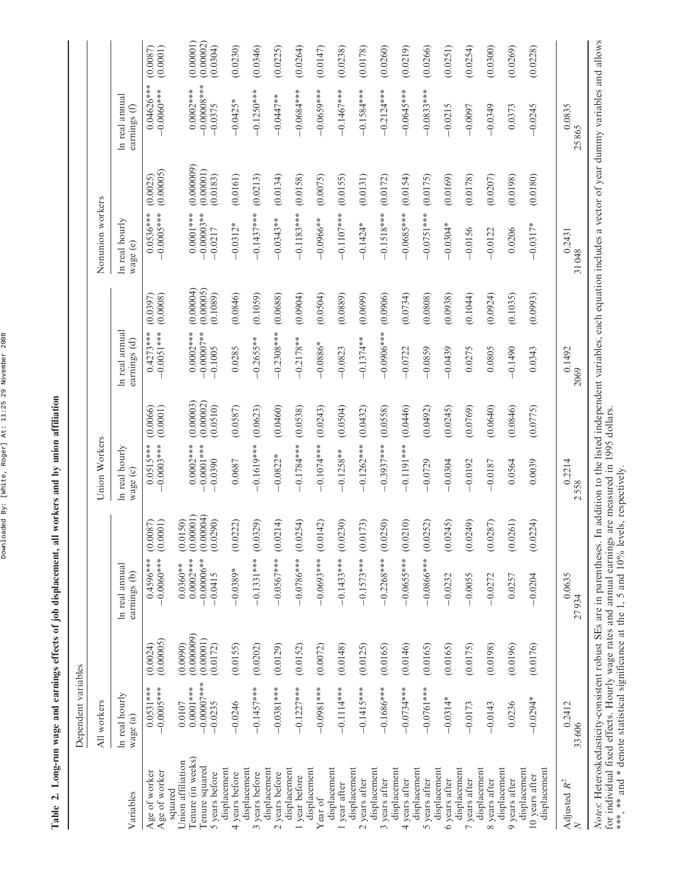Downloaded By: [White, Roger] At: 11:25 29 November 2008 Downloaded By: [White, Roger] At: 11:25 29 November 2008

| All workers                             |                                     |                                           |                                    |                                                                                 |                        |                                |                        |                                                                                                                                                                                                          |                         |                                |                                                                                                                                                                                             |
|-----------------------------------------|-------------------------------------|-------------------------------------------|------------------------------------|---------------------------------------------------------------------------------|------------------------|--------------------------------|------------------------|----------------------------------------------------------------------------------------------------------------------------------------------------------------------------------------------------------|-------------------------|--------------------------------|---------------------------------------------------------------------------------------------------------------------------------------------------------------------------------------------|
| In real hourly<br>wage (a)              |                                     | ln real annual<br>earnings (b)            |                                    | In real hourly<br>wage (c)                                                      |                        | In real annual<br>earnings (d) |                        | In real hourly<br>wage (e)                                                                                                                                                                               |                         | In real annual<br>earnings (f) |                                                                                                                                                                                             |
| $0.0531***$<br>$-0.0005***$             | (0.00005)<br>(0.0024)               | $-0.0060$ ***<br>$0.4596***$              | (0.0087)<br>(0.0001)               | $0.0515***$<br>$0.0003***$                                                      | (0.0001)<br>(0.0066)   | $0.4273***$<br>$0.0051***$     | (0.0008)<br>(0.0397)   | $-0.0005***$<br>$0.0536***$                                                                                                                                                                              | (0.00005)<br>(0.0025)   | $-0.0060$ ***                  | (0.0087)<br>(0.0001)                                                                                                                                                                        |
| $-0.00007$ ***<br>$0.0001***$<br>0.0107 | (0.000009)<br>(0.00001)<br>(0.0090) | $0.0002***$<br>$-0.00006**$<br>$0.0360**$ | (0.00001)<br>(0.00004)<br>(0.0150) | $0.0002***$<br>$0.0001***$                                                      | (0.00003)<br>(0.00002) | $0.0002***$<br>$0.00007$ **    | (0.00004)<br>(0.00005) | $0.0001***$<br>$-0.00003**$                                                                                                                                                                              | (0.000009)<br>(0.00001) | $0.0002***$                    | (0.00001)<br>(0.00002)<br>(0.0304)                                                                                                                                                          |
| $-0.0246$                               | (0.0155)                            | $-0.0389*$                                | (0.0222)                           | 0.0687                                                                          | (0.0587)               | 0.0285                         | (0.0846)               | $-0.0312*$                                                                                                                                                                                               | (0.0161)                | $-0.0425*$                     | (0.0230)                                                                                                                                                                                    |
| $-0.1457***$                            | (0.0202)                            | $-0.1331***$                              | (0.0329)                           | $-0.1619***$                                                                    | (0.0623)               | $-0.2655***$                   | (0.1059)               | $-0.1437***$                                                                                                                                                                                             | (0.0213)                | $-0.1250***$                   | (0.0346)                                                                                                                                                                                    |
| $-0.0381***$                            | (0.0129)                            | $-0.0567***$                              | )214)<br>$\overline{0}$            | $-0.0822*$                                                                      | (0.0460)               | $-0.2308***$                   | (0.0688)               | $-0.0343**$                                                                                                                                                                                              | (0.0134)                | $-0.0447**$                    | (0.0225)                                                                                                                                                                                    |
| $-0.1227***$                            | (0.0152)                            | $-0.0786***$                              | (0.0254)                           | $-0.1784***$                                                                    | (0.0538)               | $-0.2178**$                    | (0.0904)               | $-0.1183***$                                                                                                                                                                                             | (0.0158)                | $-0.0684***$                   | (0.0264)                                                                                                                                                                                    |
| $-0.0981***$                            | (0.0072)                            | $-0.0693***$                              | (0.0142)                           | $0.1074***$                                                                     | (0.0243)               | $0.0886*$                      | (0.0504)               | $-0.0966**$                                                                                                                                                                                              | (0.0075)                | $-0.0659***$                   | (0.0147)                                                                                                                                                                                    |
| $-0.1114***$                            | (0.0148)                            | $-0.1433***$                              | (0.0230)                           | $-0.1258**$                                                                     | (0.0504)               | $-0.0823$                      | (0.0889)               | $-0.1107***$                                                                                                                                                                                             | (0.0155)                | $-0.1467***$                   | (0.0238)                                                                                                                                                                                    |
| $-0.1415***$                            | (0.0125)                            | $-0.1573***$                              | (0.0173)                           | $-0.1262***$                                                                    | (0.0432)               | $-0.1374**$                    | (0.0699)               | $-0.1424*$                                                                                                                                                                                               | (0.0131)                | $-0.1584***$                   | (0.0178)                                                                                                                                                                                    |
| $-0.1686***$                            | (0.0165)                            | $-0.2268***$                              | 0250<br>$\overline{0}$             | $-0.3937***$                                                                    | (0.0558)               | $-0.0906***$                   | (0.0906)               | $-0.1518***$                                                                                                                                                                                             | (0.0172)                | $-0.2124***$                   | (0.0260)                                                                                                                                                                                    |
| $-0.0734***$                            | (0.0146)                            | $-0.0655***$                              | 0120<br>$\overline{0}$             | $-0.1191***$                                                                    | (0.0446)               | $-0.0722$                      | (0.0734)               | $-0.0685***$                                                                                                                                                                                             | (0.0154)                | $-0.0645***$                   | (0.0219)                                                                                                                                                                                    |
| $-0.0761***$                            | (0.0165)                            | $-0.0866$ ***                             | )252)<br>$\ddot{\text{o}}$         | $-0.0729$                                                                       | (0.0492)               | $-0.0859$                      | (0.0808)               | $-0.0751***$                                                                                                                                                                                             | (0.0175)                | $-0.0833***$                   | (0.0266)                                                                                                                                                                                    |
| $-0.0314*$                              | (0.0165)                            | $-0.0232$                                 | )245<br>$\overline{0}$             | $-0.0304$                                                                       | (0.0245)               | $-0.0439$                      | (0.0938)               | $-0.0304*$                                                                                                                                                                                               | (0.0169)                | $-0.0215$                      | (0.0251)                                                                                                                                                                                    |
| $-0.0173$                               | (0.0175)                            | $-0.0055$                                 | (649)<br>$\overline{0}$ .          | $-0.0192$                                                                       | (0.0769)               | 0.0275                         | (0.1044)               | $-0.0156$                                                                                                                                                                                                | (0.0178)                | $-0.0097$                      | (0.0254)                                                                                                                                                                                    |
| $-0.0143$                               | (0.0198)                            | $-0.0272$                                 | 0287)<br>$\overline{0}$ .          | $-0.0187$                                                                       | (0.0640)               | 0.0805                         | (0.0924)               | $-0.0122$                                                                                                                                                                                                | (0.0207)                | $-0.0349$                      | (0.0300)                                                                                                                                                                                    |
| 0.0236                                  | (0.0196)                            | 0.0257                                    | (0.0261)                           | 0.0564                                                                          | (0.0846)               | $-0.1490$                      | (0.1035)               | 0.0206                                                                                                                                                                                                   | (0.0198)                | 0.0373                         | (0.0269)                                                                                                                                                                                    |
| $-0.0294*$                              | (0.0176)                            | $-0.0204$                                 | (0.0224)                           | 0.0039                                                                          | (0.0775)               | 0.0343                         | (0.0993)               | $-0.0317*$                                                                                                                                                                                               | (0.0180)                | $-0.0245$                      | (0.0228)                                                                                                                                                                                    |
| 0.2412<br>33606                         |                                     | 0.0635<br>27934                           |                                    | 0.2214<br>2558                                                                  |                        | $\frac{0.1492}{2069}$          |                        | 0.2431<br>31048                                                                                                                                                                                          |                         |                                |                                                                                                                                                                                             |
|                                         |                                     |                                           |                                    |                                                                                 |                        |                                |                        |                                                                                                                                                                                                          |                         |                                |                                                                                                                                                                                             |
| Tenure (in weeks)                       | $-0.0235$                           | (0.0172)                                  | $-0.0415$                          | (0.0290)<br>Notes: Heteroskedasticity-consistent robust SEs are in parentheses. | $-0.0390$              | (0.0510)<br>Union Workers      | $-0.1005$              | (0.1089)<br>for individual fixed effects. Hourly wage rates and annual earnings are measured in 1995 dollars.<br>***, ** and * denote statistical significance at the 1, 5 and 10% levels, respectively. | $-0.0217$               | (0.0183)<br>Nonunion workers   | In addition to the listed independent variables, each equation includes a vector of year dummy variables and allows<br>$0.04626***$<br>$-0.00008***$<br>$-0.0375$<br>$\frac{0.0835}{25865}$ |

## Table 2. Long-run wage and earnings effects of job displacement, all workers and by union affiliation Table 2. Long-run wage and earnings effects of job displacement, all workers and by union affiliation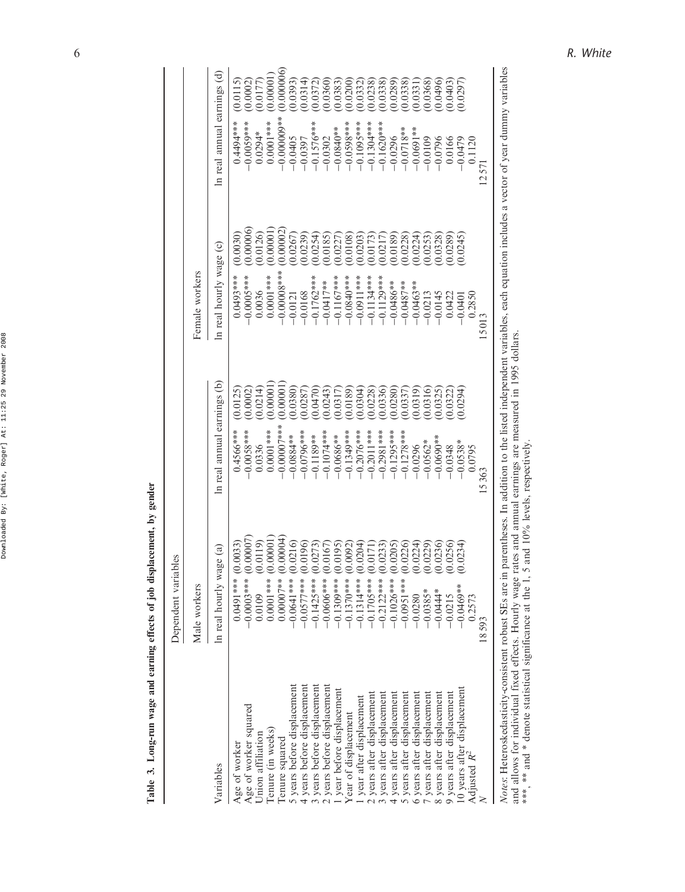| ١<br>¢<br>¢                                                               |
|---------------------------------------------------------------------------|
| ı<br>î<br>١<br>Ï<br>١<br>i<br>ï<br>I<br>۱<br>I<br>ë<br>ı<br>I             |
| ć<br>¢<br>i                                                               |
| I<br>١<br>í<br>ı<br>ı                                                     |
| ١<br>ł<br>ì<br>A                                                          |
| 'n,<br>٠<br>ł<br>j<br>j<br>ļ<br>۱<br>i<br>S<br>I<br>j<br>١<br>í<br>ı<br>ı |
| J<br>d<br>J<br>i<br>ï<br>i<br>í<br>i<br>ı                                 |
| ï<br>l<br>ï<br>I<br>ı                                                     |
| ī<br>b<br>Ï<br>Ï<br>i<br>í<br>Ï                                           |

Table 3. Long-run wage and earning effects of job displacement, by gender Table 3. Long-run wage and earning effects of job displacement, by gender

|                                                                                                                     | Dependent variables     |                                                                                                                                              |                                                                                                                       |                             |
|---------------------------------------------------------------------------------------------------------------------|-------------------------|----------------------------------------------------------------------------------------------------------------------------------------------|-----------------------------------------------------------------------------------------------------------------------|-----------------------------|
|                                                                                                                     | Male workers            |                                                                                                                                              | Female workers                                                                                                        |                             |
| Variables                                                                                                           | In real hourly wage (a) | In real annual earnings (b)                                                                                                                  | In real hourly wage (c)                                                                                               | In real annual earnings (d) |
| Age of worker                                                                                                       | 0.0033                  | (0.0125)                                                                                                                                     | (0.0030)                                                                                                              | (0.0115)                    |
|                                                                                                                     | $0.0491***$ (0.000)     | $0.4566***$                                                                                                                                  | $0.0493***$                                                                                                           | 1494****                    |
| Age of worker squared                                                                                               | .00007                  | (0.0002)                                                                                                                                     | 0.00006                                                                                                               | (0.0002)                    |
|                                                                                                                     | $-0.0003***$ (0         | $-0.0058***$                                                                                                                                 | $-0.0005$ ***                                                                                                         | $-0.005$                    |
| Union affiliation                                                                                                   | 0.0119)                 | (0.0214)                                                                                                                                     | 0.0126                                                                                                                | (0.0177)                    |
|                                                                                                                     | 0.0109                  | 0.0336                                                                                                                                       | 0.0036                                                                                                                | $0.0294*$                   |
| Tenure (in weeks)                                                                                                   | 0.00001                 | 0.00001                                                                                                                                      | 0.00001                                                                                                               | (0.00001)                   |
|                                                                                                                     | $0.0001***$             | $0.0001$ ***                                                                                                                                 | $0.0001***$                                                                                                           | $0.0001$ ***                |
| Tenure squared                                                                                                      | 00004                   | 0.00001                                                                                                                                      | 0.00002                                                                                                               | (0.000006)                  |
|                                                                                                                     | $0.00007**$             | $-0.00000$                                                                                                                                   | $-0.00008$ ***                                                                                                        | $-0.000000$ **              |
| 5 years before displacement                                                                                         | 0.0216                  | (0.0380)                                                                                                                                     | 0.0267                                                                                                                | (0.0393)                    |
|                                                                                                                     | $-0.0641***$            | $-0.0884**$                                                                                                                                  | $-0.0121$                                                                                                             | $-0.0405$                   |
| 4 years before displacement                                                                                         | 0.0196                  | 0.0287                                                                                                                                       | 0.0239                                                                                                                | (0.0314)                    |
|                                                                                                                     | $-0.0577$ ***           | $-0.0796$ ***                                                                                                                                | $-0.0168$                                                                                                             | $-0.0397$                   |
| 3 years before displacement                                                                                         | .0273)                  | 0.0470                                                                                                                                       | 0.0254                                                                                                                | (0.0372)                    |
|                                                                                                                     | $-0.1425***$            | $-0.1189**$                                                                                                                                  | $-0.1762$ ***                                                                                                         | $-0.1576***$                |
| years before displacement                                                                                           | (0167)                  | 0.0243                                                                                                                                       | 0.0185                                                                                                                | (0.0360)                    |
|                                                                                                                     | $-0.0606***$            | $-0.1074**$                                                                                                                                  | $-0.0417**$                                                                                                           | $-0.0302$                   |
| year before displacement                                                                                            | (5610)                  | 0.0317                                                                                                                                       | 0.0227                                                                                                                | (0.0383)                    |
|                                                                                                                     | $-0.1309***$            | $-0.0686**$                                                                                                                                  | $-0.1167***$                                                                                                          | $-0.0840**$                 |
| Year of displacement                                                                                                | (0.0092)                | 0.0189                                                                                                                                       | (0.0108)                                                                                                              | (0.0200)                    |
|                                                                                                                     | $-0.1370***$            | $-0.1349***$                                                                                                                                 | $-0.0840$ ***                                                                                                         | $-0.0598***$                |
| year after displacement                                                                                             | .0204)                  | 0.0304                                                                                                                                       | 0.0203                                                                                                                | 0.0332                      |
|                                                                                                                     | $-0.1314***$            | $-0.2076***$                                                                                                                                 | $-0.0911$ ***                                                                                                         | $-0.1095***$                |
| 2 years after displacement                                                                                          | .0171                   | 0.0228                                                                                                                                       | (0.0173)                                                                                                              | (0.0238)                    |
|                                                                                                                     | $-0.1705***$            | $-0.2011***$                                                                                                                                 | $-0.1134***$                                                                                                          | $-0.1304***$                |
| 3 years after displacement                                                                                          | (0233)                  | (0.0336)                                                                                                                                     | (0.0217)                                                                                                              | (0.0338)                    |
|                                                                                                                     | $-0.2122***$            | $-0.2981***$                                                                                                                                 | $-0.1129***$                                                                                                          | $-0.1620$ **                |
| 4 years after displacement                                                                                          | .0205                   | 0.0280                                                                                                                                       | (0.0189)                                                                                                              | (0.0289)                    |
|                                                                                                                     | $-0.1026***$            | $-0.1295***$                                                                                                                                 | $-0.0486**$                                                                                                           | $-0.0296$                   |
| years after displacement                                                                                            | .0226                   | (0.0337)                                                                                                                                     | 0.0228                                                                                                                | (0.0338)                    |
|                                                                                                                     | $-0.0951$ ***           | $-0.1278***$                                                                                                                                 | $-0.0487**$                                                                                                           | $-0.0718**$                 |
| 6 years after displacement                                                                                          | .0224                   | 0.0319                                                                                                                                       | (0.0224)                                                                                                              | (0.0331)                    |
|                                                                                                                     | $-0.0280$               | $-0.0296$                                                                                                                                    | $-0.0463**$                                                                                                           | $-0.0691**$                 |
| years after displacement                                                                                            | (0229)                  | 0.0316                                                                                                                                       | (0.0253)                                                                                                              | (0.0368)                    |
|                                                                                                                     | $-0.0385*$              | $-0.0562*$                                                                                                                                   | $-0.0213$                                                                                                             | $-0.0109$                   |
| 8 years after displacement                                                                                          | 0236)                   | (0.0325)                                                                                                                                     | (0.0328)                                                                                                              | 0.0496                      |
|                                                                                                                     | $-0.0444*$              | $-0.0690**$                                                                                                                                  | $-0.0145$                                                                                                             | $-0.0796$                   |
| 9 years after displacement                                                                                          | 0.0256                  | (0.0322)                                                                                                                                     | (0.0289)                                                                                                              | (0.0403)                    |
|                                                                                                                     | $-0.0215$               | $-0.0348$                                                                                                                                    | 0.0422                                                                                                                | 0.0166                      |
| 10 years after displacement                                                                                         | 0.0234                  | 0.0294                                                                                                                                       | 0.0245                                                                                                                | (0.0297)                    |
|                                                                                                                     | $-0.0469**$             | $-0.0538*$                                                                                                                                   | $-0.0401$                                                                                                             | $-0.0479$                   |
| Adjusted $R^2$                                                                                                      | 0.2573                  | 0.0795                                                                                                                                       | 0.2850                                                                                                                | 0.1120                      |
|                                                                                                                     | 18593                   | 15363                                                                                                                                        | 15013                                                                                                                 | 12571                       |
| ***, ** and * denote statistical significance at the 1, 5<br>Notes: Heteroskedasticity-consistent robust SEs are in |                         | and allows for individual fixed effects. Hourly wage rates and annual earnings are measured in 1995 dollars<br>and 10% levels, respectively. | parentheses. In addition to the listed independent variables, each equation includes a vector of year dummy variables |                             |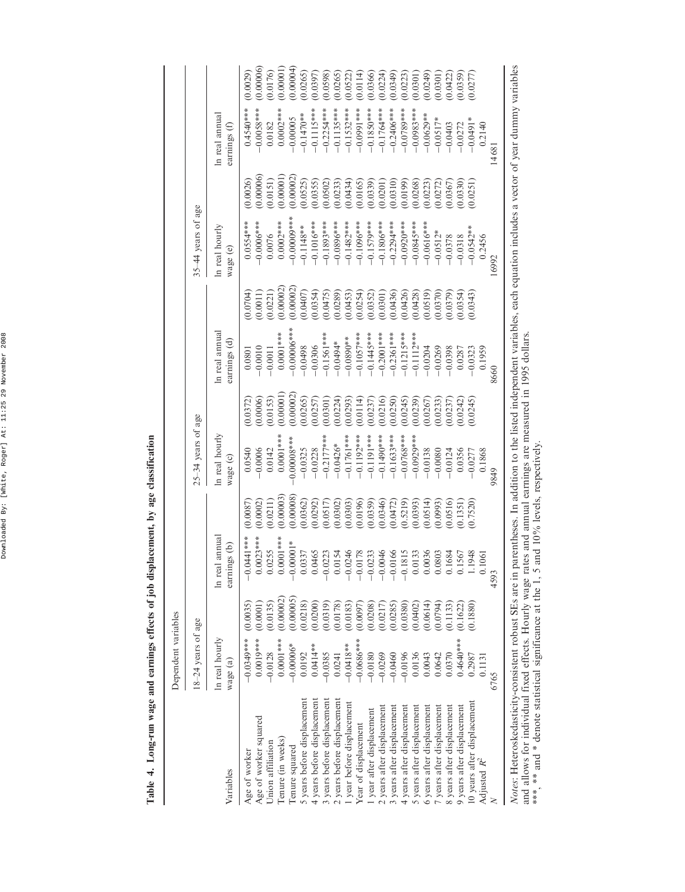Downloaded By: [White, Roger] At: 11:25 29 November 2008 Downloaded By: [White, Roger] At: 11:25 29 November 2008

| į<br>, by age class.                            |
|-------------------------------------------------|
|                                                 |
|                                                 |
| ミー・ミー                                           |
|                                                 |
|                                                 |
|                                                 |
| a 1.002-run wage and earnings effects or power- |
|                                                 |
|                                                 |
|                                                 |
|                                                 |
|                                                 |
| Table 4.                                        |

|                                                                           | Dependent variables       |           |                                                                            |           |                            |           |                                                                    |          |                            |           |                                |           |
|---------------------------------------------------------------------------|---------------------------|-----------|----------------------------------------------------------------------------|-----------|----------------------------|-----------|--------------------------------------------------------------------|----------|----------------------------|-----------|--------------------------------|-----------|
|                                                                           | 18-24 years of age        |           |                                                                            |           | 25-34 years of age         |           |                                                                    |          | 35-44 years of age         |           |                                |           |
| Variables                                                                 | In real hourly<br>wage(a) |           | annua.<br>earnings (b)<br>In real                                          |           | In real hourly<br>wage (c) |           | ln real annual<br>earnings (d)                                     |          | In real hourly<br>wage (e) |           | In real annual<br>earnings (f) |           |
|                                                                           |                           |           |                                                                            |           |                            |           |                                                                    |          |                            |           |                                |           |
| Age of worker                                                             | $-0.0349***$              | (0.0035)  | $-0.0441$ ***                                                              | (0.0087)  | 0.0540                     | (0.0372)  | 0.0801                                                             | (0.0704) | $0.0554***$                | (0.0026)  | $0.4540***$                    | (0.0029)  |
| Age of worker squared                                                     | $0.0019***$               | (0.0001)  | $0.0023***$                                                                | (0.0002)  | $-0.0006$                  | (0.0006)  | $-0.0010$                                                          | (0.0011) | $-0.0006$ **               | (0.00006) | $-0.0058***$                   | (0.00006) |
| Union affiliation                                                         | $-0.0128$                 | (0.0135)  | 0.0255                                                                     | (0.0211)  | 0.0142                     | (0.0153)  | $-0.0011$                                                          | (0.0221) | 0.0076                     | (0.0151)  | 0.0182                         | (0.0176)  |
| Tenure (in weeks)                                                         | $0.0001***$               | (0.00002) | $0.0001***$                                                                | (0.00003) | $0.0001***$                | (0.00001  | $0.0001***$                                                        | 0.00002  | $0.0002***$                | (0.00001) | 0.0002****                     | (0.00001) |
| Tenure squared                                                            | $-0.00006*$               | (0.00005) | $-0.00001*$                                                                | (0.00008) | $0.00008***$               | (0.00002) | $-0.00006***$                                                      | 0.00002  | $-0.00000$ ***             | 0.00002   | $-0.00005$                     | (0.00004) |
| 5 years before displacement                                               | 0.0192                    | (0.0218)  | 0.0337                                                                     | (0.0362)  | $-0.0325$                  | (0.0265)  | $-0.0498$                                                          | (0.0407) | $-0.1148***$               | (0.0525)  | $-0.1470**$                    | (0.0265)  |
| 4 years before displacement                                               | $0.0414**$                | (0.0200)  | 0.0465                                                                     | (0.0292)  | $-0.0228$                  | (0.0257)  | $-0.0306$                                                          | (0.0354) | $-0.1016**$                | (0.0355)  | $-0.1115***$                   | (0.0397)  |
| 3 years before displacement                                               | $-0.0385$                 | (0.0319)  |                                                                            | (0.0517)  | $-0.2177***$               | (0.0301)  | $-0.1561***$                                                       | (0.0475) | $-0.1893***$               | (0.0502)  | $-0.2254***$                   | (0.0598)  |
| 2 years before displacement                                               | 0.0241                    | (0.0178)  |                                                                            | (0.0302)  | $-0.0426*$                 | (0.0224)  | $-0.0494*$                                                         | (0.0289) | $-0.0896***$               | (0.0233)  | $-0.1135***$                   | (0.0265)  |
| I year before displacement                                                | $-0.0418***$              | (0.0183)  |                                                                            | (0.0303)  | $-0.1761***$               | (0.0293)  | $-0.0890**$                                                        | (0.0453) | $-0.1482***$               | (0.0434)  | $-0.1532***$                   | (0.0522)  |
| Year of displacement                                                      | $-0.0686***$              | (0.0097)  | $-0.0223$<br>$-0.0154$<br>$-0.0246$<br>$-0.0178$<br>$-0.0233$<br>$-0.0046$ | (0.0196)  | $-0.1192***$               | (0.0114)  | $-0.1057***$                                                       | (0.0254) | $-0.1096***$               | (0.0165)  | $-0.0991***$                   | (0.0114)  |
| year after displacement                                                   | $-0.0180$                 | (0.0208)  |                                                                            | (0.0359)  | $-0.1191***$               | (0.0237)  | $-0.1445***$                                                       | (0.0352) | $-0.1579***$               | (0.0339)  | $-0.1850***$                   | (0.0366)  |
| 2 years after displacement                                                | $-0.0269$                 | (0.0217)  |                                                                            | (0.0346)  | $-0.1490$ **               | (0.0216)  | $-0.2001***$                                                       | (0.0301) | $-0.1806***$               | (0.0201)  | $-0.1764***$                   | (0.0224)  |
| 3 years after displacement                                                | $-0.0460$                 | (0.0285)  |                                                                            | (0.0472)  | $-0.1633***$               | (0.0250)  | $-0.2361***$                                                       | (0.0436) | $-0.2294***$               | (0.0310)  | $-0.2406***$                   | (0.0349)  |
| 4 years after displacement                                                | $-0.0196$                 | (0.0380)  | $-0.0166$<br>$-0.1815$<br>$0.0133$                                         | (0.5219)  | $-0.0768***$               | (0.0245)  | $-0.1215***$                                                       | (0.0426) | $-0.0920$ **               | (0.0199)  | $-0.0789***$                   | (0.0223)  |
| 5 years after displacement                                                | 0.0136                    | (0.0402)  |                                                                            | (0.0393)  | $-0.0929**$                | (0.0239)  | $-0.1112***$                                                       | (0.0428) | $-0.0845***$               | (0.0268)  | $-0.0983***$                   | (0.0301)  |
| 6 years after displacement                                                | 0.0043                    | (0.0614)  | 0.0036                                                                     | (0.0514)  | $-0.0138$                  | (0.0267)  | $-0.0204$                                                          | (0.0519) | $-0.0616**$                | (0.0223)  | $-0.0629**$                    | (0.0249)  |
| 7 years after displacement                                                | 0.0642                    | (0.0794)  | 0.0803                                                                     | (0.0993)  | $-0.0080$                  | (0.0233)  | $-0.0269$                                                          | (0.0370) | $-0.0512*$                 | (0.0272)  | $-0.0517*$                     | (0.0301)  |
| 8 years after displacement                                                | 0.0370                    | (0.1133)  | 0.1684                                                                     | (0.0516)  | $-0.0124$                  | (0.0237)  | $-0.0398$                                                          | (0.0379) | $-0.0378$                  | (0.0367)  | $-0.0403$                      | (0.0422)  |
| 9 years after displacement                                                | $0.4640***$               | 0.1622    | 567<br>948<br>$\overline{0}$ .                                             | (0.1351)  | 0.0356                     | (0.0242)  | 0.0287                                                             | (0.0354) | $-0.0318$                  | (0.0330)  | $-0.0272$                      | (0.0359)  |
| 10 years after displacement                                               | 0.2987                    | (0.1880)  | $\Box$                                                                     | (0.7520)  | $-0.0277$                  | (0.0245)  | $-0.0323$                                                          | (0.0343) | $-0.0542**$                | (0.0251)  | $-0.0491*$                     | (0.0277)  |
| Adjusted $R^2$                                                            | 0.1131                    |           | $\overline{61}$<br>$\bar{c}$                                               |           | 0.1868                     |           | 0.1959                                                             |          | 0.2456                     |           | 0.2140                         |           |
| z                                                                         | 6765                      |           | 4593                                                                       |           | 9849                       |           | 8660                                                               |          | 16992                      |           | 14681                          |           |
| Maria Hartingtonia di continuationi dell'aggeritori dell'aggeritori dell' |                           |           |                                                                            |           |                            |           | amethone Is addition to the linted in a monday of the continuation |          | . ماساسا سمندم مامم        |           | matan af yaan dum              | ند 1.1    |

*Notes*: Heteroskedasticity-consistent robust SEs are in parentheses. In addition to the listed independent variables, each equation includes a vector of year dummy variables<br>and allows for individual fixed effects. Hourly Notes: Heteroskedasticity-consistent robust SEs are in parentheses. In addition to the listed independent variables, each equation includes a vector of year dummy variables and allows for individual fixed effects. Hourly wage rates and annual earnings are measured in 1995 dollars. \*\*\*, \*\* and \* denote statistical significance at the 1, 5 and 10% levels, respectively.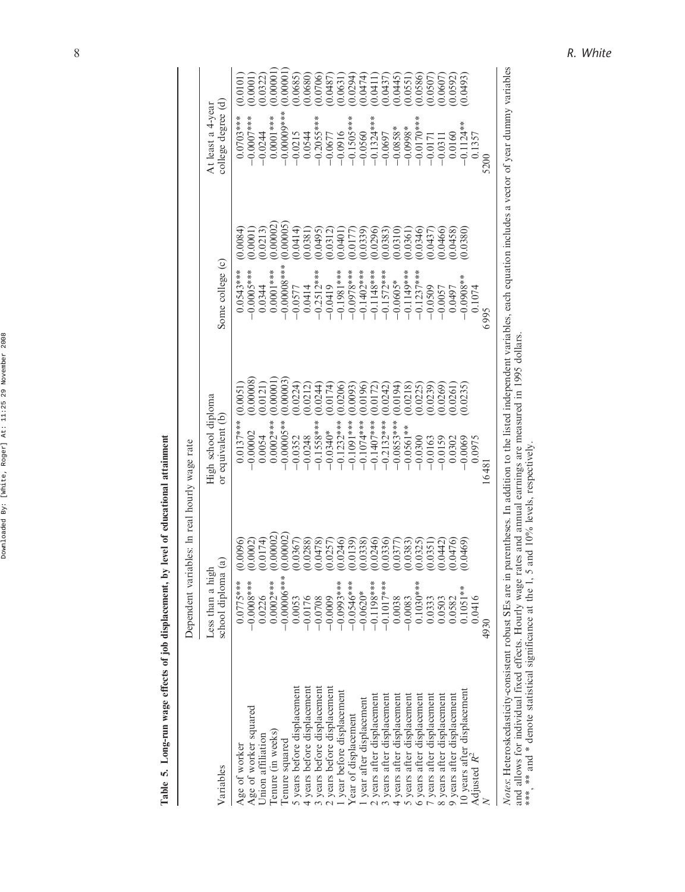| 5                                  |
|------------------------------------|
| <b>PART LONG</b>                   |
|                                    |
|                                    |
| i<br>i                             |
| i                                  |
|                                    |
| <b>ACCEPTS CENTRAL EXPLORATION</b> |
|                                    |
| ì<br>i<br>i<br>Ì                   |
| 4                                  |

|                             | Dependent variables: In real hourly wage rate       |                                          |                           |                                         |                                        |
|-----------------------------|-----------------------------------------------------|------------------------------------------|---------------------------|-----------------------------------------|----------------------------------------|
| Variables                   | $\widehat{a}$<br>Less than a high<br>school diploma | High school diploma<br>or equivalent (b) | Some college (c)          | college degree (d)<br>At least a 4-year |                                        |
| Age of worker               | (0.0096)<br>$0.0775***$                             | (0.0051)<br>$0.0137***$                  | 0.0084<br>$0.0543***$     | $0.0703***$                             | 0.0101                                 |
| Age of worker squared       | (0.0002)<br>$-0.0000$                               | 0.00008<br>$-0.00002$                    | 0.0001<br>$-0.0005$ ***   | *****00.000                             | (0.0001)                               |
| Union affiliation           | (0.0174)<br>0.0226                                  | (0.0121)<br>0.0054                       | (0.0213)<br>0.0344        | $-0.0244$                               | (0.0322)                               |
| Tenure (in weeks)           | (0.00002<br>$0.0002***$                             | 0.00001<br>$0.0002***$                   | 0.00002<br>$0.0001***$    | $0.0001***$                             | 0.00001                                |
| Tenure squared              | (0.00002)<br>$-0.00000$                             | 0.00003<br>$-0.00005**$                  | 0.00005<br>$-0.00008$ *** | $-0.00000$ **                           | 0.00001                                |
| 5 years before displacement | (0.0367)<br>0.0053                                  | (0.0224)<br>$-0.0352$                    | 0.0414)<br>$-0.0577$      |                                         | 0.0685                                 |
| 4 years before displacement | (0.0288)<br>$-0.0176$                               | (0.0212)<br>$-0.0248$                    | (0.0381)<br>0.0414        | $-0.0215$<br>0.0544                     | 0.0680)                                |
| 3 years before displacement | $-0.0708$                                           | (0.0244)<br>$-0.1558***$                 | (6640, 0)                 | $-0.2055***$                            |                                        |
| 2 years before displacement | $(0.0478)$<br>$(0.0257)$<br>$-0.0009$               | (0.0174)<br>$-0.0340*$                   | (0.0312)<br>$-0.2512***$  | $-0.0677$                               | $(0.0706)$<br>$(0.0487)$               |
| year before displacement    | (0.0246)<br>$-0.0993***$                            | (0.0206)<br>$-0.1232***$                 | 0.0401<br>$-0.1981$ ***   | $-0.0916$                               | 0.0631                                 |
| Year of displacement        | (0.0139)<br>$-0.0546***$                            | (0.0093)<br>$-0.1091***$                 | 0.0177<br>$-0.0978$ ***   |                                         |                                        |
| year after displacement     | (0.0338)<br>$-0.0620*$                              | (0.0196)<br>$-0.1074***$                 | (0.0339)<br>$-0.1402$ *** | $-0.1505***$                            | (1, 0.0294)                            |
| 2 years after displacement  | (0.0246)<br>$-0.1198***$                            | (0.0172)<br>$-0.1407***$                 | 0.0296<br>$-0.1148***$    | $-0.1324***$                            |                                        |
| years after displacement    | (0.0336)<br>$-0.1017$ ***                           | 0.0242<br>$-0.2132***$                   | (0.0383)<br>$-0.1572***$  | $-0.0697$                               |                                        |
| years after displacement    | (0.0377)<br>0.0038                                  | (0.0194)<br>$-0.0853***$                 | (0.0310)<br>$-0.0605*$    | $-0.0858*$                              | $(0.0411)$<br>$(0.0437)$<br>$(0.0445)$ |
| years after displacement    | (0.0383)<br>$-0.0083$                               | (0.0218)<br>$-0.0561**$                  | 0.0361<br>$-0.111$        | $-0.0998*$                              | (1550, 0.00, 0.00)                     |
| 6 years after displacement  | (0.0325)<br>$0.1030***$                             | (0.0225)<br>$-0.0300$                    | 0.0346<br>$-0.1237$ ***   | $-0.0170$ ***                           | 0.0586                                 |
| 7 years after displacement  | (0.0351)<br>0.0333                                  | 0.0239)<br>$-0.0163$                     | 0.0437<br>$-0.0509$       | $-0.0171$                               |                                        |
| 8 years after displacement  | (0.0442)<br>0.0503                                  | 0.0269<br>$-0.0159$                      | (0.0466)<br>$-0.0057$     | $-0.031$                                | (0.0507)                               |
| 9 years after displacement  | (0.0476)<br>0.0582                                  | (0.0261)<br>0.0302                       | (0.0458)<br>0.0497        | 0.0160                                  | (0.0592)                               |
| 10 years after displacement | (0.0469)<br>$0.1051**$                              | (0.0235)<br>$-0.0069$                    | (0.0380)<br>$-0.0908**$   | $-0.1124**$                             | 0.0493                                 |
| Adjusted $R^2$              | 0.0416                                              | 0.0975                                   | 0.1074                    | 0.1357                                  |                                        |
|                             | 4930                                                | 16481                                    | 6995                      |                                         |                                        |
|                             |                                                     | $\vdots$                                 |                           |                                         |                                        |

*Notes*: Heteroskedasticity-consistent robust SEs are in parentheses. In addition to the listed independent variables, each equation includes a vector of year dummy variables<br>and allows for individual fixed effects. Hourly Notes: Heteroskedasticity-consistent robust SEs are in parentheses. In addition to the listed independent variables, each equation includes a vector of year dummy variables and allows for individual fixed effects. Hourly wage rates and annual earnings are measured in 1995 dollars. \*\*\*, \*\* and \* denote statistical significance at the 1, 5 and 10% levels, respectively.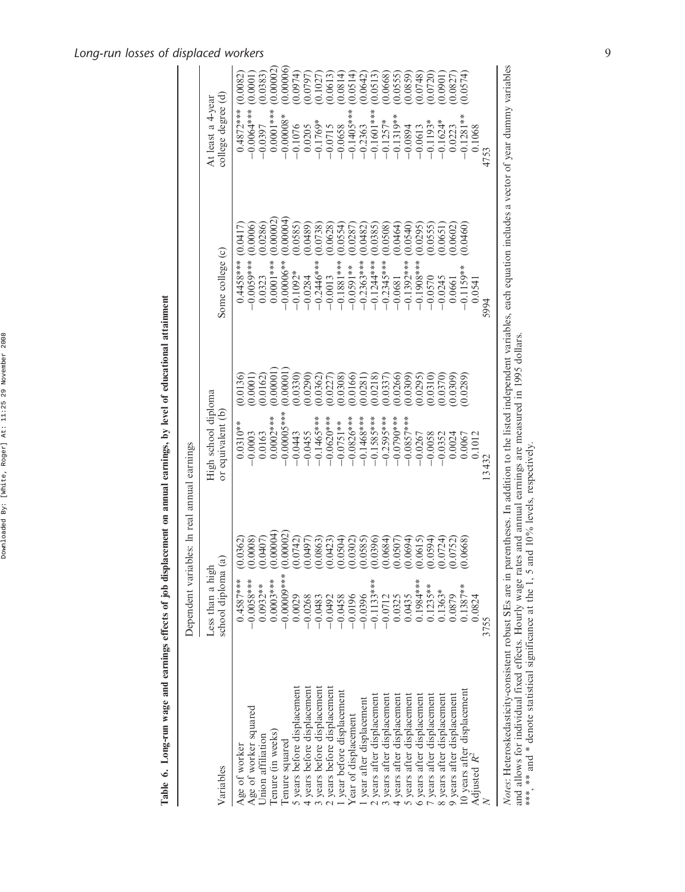### Downloaded By: [White, Roger] At: 11:25 29 November 2008 Downloaded By: [White, Roger] At: 11:25 29 November 2008

# Table 6. Long-run wage and earnings effects of job displacement on annual earnings, by level of educational attainment Table 6. Long-run wage and earnings effects of job displacement on annual earnings, by level of educational attainment

|                                                                                                                                                                          | Dependent variables: In real annual earnings        |                                          |          |                           |                                         |
|--------------------------------------------------------------------------------------------------------------------------------------------------------------------------|-----------------------------------------------------|------------------------------------------|----------|---------------------------|-----------------------------------------|
| Variables                                                                                                                                                                | $\widehat{a}$<br>Less than a high<br>school diploma | High school diploma<br>or equivalent (b) |          | Some college (c)          | college degree (d)<br>At least a 4-year |
| Age of worker                                                                                                                                                            | (0.0362)<br>$0.4587***$                             | $0.0310**$                               | 0.0136   | (0.0417<br>$0.4458***$    | (0.0082)<br>$0.4872***$                 |
| Age of worker squared                                                                                                                                                    | (0.0008)<br>$-0.0058***$                            | $-0.0003$                                | (0.0001) | (0.0006)<br>$-0.0059***$  | (0.0001)<br>$-0.0000$                   |
| Jnion affiliation                                                                                                                                                        | (0.0407)<br>$0.0932**$                              | 0.0163                                   | (0.0162) | (0.0286)<br>0.0323        | (0.0383)<br>$-0.0397$                   |
| Tenure (in weeks)                                                                                                                                                        | (0.00004)<br>$0.0003***$                            | $0.0002***$                              | 0.00001  | (0.00002)<br>$0.0001***$  | 0.00002<br>$0.0001***$                  |
| Tenure squared                                                                                                                                                           | (0.00002)<br>$-0.00000$                             | $-0.00005$ ***                           | 0.00001  | (0.00004)<br>$-0.00006**$ | 0.00006<br>$-0.00008*$                  |
| 5 years before displacement                                                                                                                                              | (0.0742)<br>0.0029                                  | $-0.0443$                                | 0.0330   | (0.0585)<br>$-0.1092*$    | (1.0974)<br>$-0.1076$                   |
| 4 years before displacement                                                                                                                                              | (0.0497)<br>$-0.0268$                               | $-0.0455$                                | 0.0290   | (0.0489)<br>$-0.0284$     | (0.0797)<br>0.0205                      |
| 3 years before displacement                                                                                                                                              | (0.0863)<br>$-0.0483$                               | $-0.1465***$                             | 0.0362   | (0.0738)<br>$-0.2446***$  | (0.1027)<br>$-0.1769*$                  |
| 2 years before displacement                                                                                                                                              | (0.0423)<br>$-0.0492$                               | $-0.0620$ ***                            | 0.0227   | (0.0628)<br>$-0.0013$     | (0.0613)<br>$-0.0715$                   |
| year before displacement                                                                                                                                                 | (0.0504)<br>$-0.0458$                               | $-0.0751**$                              | (0.0308) | (0.0554)<br>$-0.1881***$  | 0.0814<br>$-0.0658$                     |
| Year of displacement                                                                                                                                                     | (0.0302)<br>$-0.0196$                               | $-0.0826***$                             | 0.0166   | (0.0287)<br>$-0.0591**$   | (0.0514)<br>$-0.1405***$                |
| I year after displacement                                                                                                                                                | (0.0585)<br>$-0.0396$                               | $-0.1468***$                             | 0.0281   | (0.0482)<br>$-0.2363***$  | (0.0642)<br>$-0.2363$                   |
| 2 years after displacement                                                                                                                                               | (0.0396)<br>$-0.1133***$                            | $-0.1585***$                             | 0.0218   | (0.0385)<br>$-0.1244***$  | 0.0513<br>$-0.1601$ **                  |
| years after displacement<br>$\epsilon$                                                                                                                                   | (0.0684)<br>$-0.0712$                               | $-0.2595***$                             | 0.0337   | (0.0508)<br>$-0.2345***$  | (0.0668)<br>$-0.1257*$                  |
| years after displacement<br>4                                                                                                                                            | (0.0507)<br>0.0325                                  | $-0.0790$ ***                            | 0.0266   | (0.0464)<br>$-0.0681$     | 0.0555<br>$-0.1319**$                   |
| 5 years after displacement                                                                                                                                               | (0.0694)<br>0.0435                                  | $-0.0857$ ***                            | (0.0309) | (0.0540)<br>$-0.1392***$  | (0.0859)<br>$-0.0894$                   |
| 6 years after displacement                                                                                                                                               | (0.0615)<br>$0.1984***$                             | $-0.0267$                                | 0.0295   | (0.0295)<br>$-0.1908***$  | 0.0748<br>$-0.0613$                     |
| 7 years after displacement                                                                                                                                               | (0.0594)<br>$0.1235**$                              | $-0.0058$                                | 0.0310   | 0.0555<br>$-0.0570$       | (0.0720)<br>$-0.1193*$                  |
| 8 years after displacement                                                                                                                                               | (0.0724)<br>$0.1363*$                               | $-0.0352$                                | 0.0370   | (0.0651)<br>$-0.0245$     | (1060.0)<br>$-0.1624*$                  |
| 9 years after displacement                                                                                                                                               | (0.0752)<br>0.0879                                  | 0.0024                                   | (0.0309) | (0.0602)<br>0.0661        | 0.0827<br>0.0223                        |
|                                                                                                                                                                          | (0.0668)<br>$0.1387**$                              | 0.0067                                   | (0.0289) | (0.0460)<br>$-0.1159**$   | 0.0574<br>$-0.1281**$                   |
| 10 years after displacement<br>Adjusted $R^2$                                                                                                                            | 0.0824                                              | 0.1012                                   |          | 0.0541                    | 0.1068                                  |
|                                                                                                                                                                          | 3755                                                | 13432                                    |          | 5994                      | 4753                                    |
| Note: Heterockedasticity-consistent robust Fig. are in particles In addition to the listed independent variables each equation includes a vector of year dummy variables |                                                     |                                          |          |                           |                                         |

*Notes*: Heteroskedasticity-consistent robust SEs are in parentheses. In addition to the listed independent variables, each equation includes a vector of year dummy variables<br>and allows for individual fixed effects. Hourly Notes: Heteroskedasticity-consistent robust SEs are in parentheses. In addition to the listed independent variables, each equation includes a vector of year dummy variables and allows for individual fixed effects. Hourly wage rates and annual earnings are measured in 1995 dollars. \*\*\*, \*\* and \* denote statistical significance at the 1, 5 and 10% levels, respectively.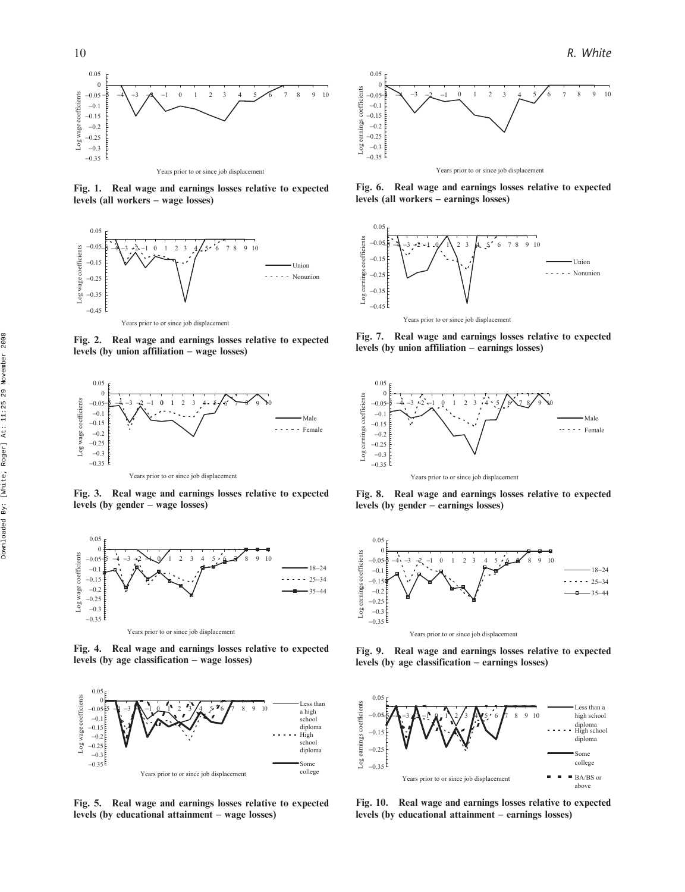

Fig. 1. Real wage and earnings losses relative to expected levels (all workers – wage losses)



Fig. 2. Real wage and earnings losses relative to expected levels (by union affiliation – wage losses)



Fig. 3. Real wage and earnings losses relative to expected levels (by gender – wage losses)



Fig. 4. Real wage and earnings losses relative to expected levels (by age classification – wage losses)



Fig. 5. Real wage and earnings losses relative to expected levels (by educational attainment – wage losses)



Fig. 6. Real wage and earnings losses relative to expected levels (all workers – earnings losses)



Fig. 7. Real wage and earnings losses relative to expected levels (by union affiliation – earnings losses)



Fig. 8. Real wage and earnings losses relative to expected levels (by gender – earnings losses)



Fig. 9. Real wage and earnings losses relative to expected levels (by age classification – earnings losses)



Fig. 10. Real wage and earnings losses relative to expected levels (by educational attainment – earnings losses)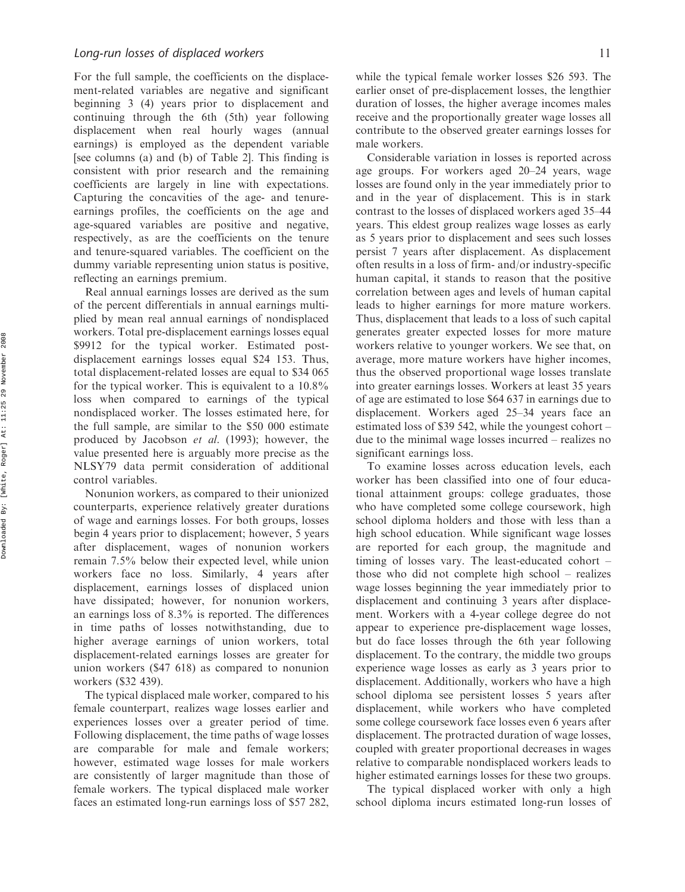For the full sample, the coefficients on the displacement-related variables are negative and significant beginning 3 (4) years prior to displacement and continuing through the 6th (5th) year following displacement when real hourly wages (annual earnings) is employed as the dependent variable [see columns (a) and (b) of Table 2]. This finding is consistent with prior research and the remaining coefficients are largely in line with expectations. Capturing the concavities of the age- and tenureearnings profiles, the coefficients on the age and age-squared variables are positive and negative, respectively, as are the coefficients on the tenure and tenure-squared variables. The coefficient on the dummy variable representing union status is positive, reflecting an earnings premium.

Real annual earnings losses are derived as the sum of the percent differentials in annual earnings multiplied by mean real annual earnings of nondisplaced workers. Total pre-displacement earnings losses equal \$9912 for the typical worker. Estimated postdisplacement earnings losses equal \$24 153. Thus, total displacement-related losses are equal to \$34 065 for the typical worker. This is equivalent to a 10.8% loss when compared to earnings of the typical nondisplaced worker. The losses estimated here, for the full sample, are similar to the \$50 000 estimate produced by Jacobson et al. (1993); however, the value presented here is arguably more precise as the NLSY79 data permit consideration of additional control variables.

Nonunion workers, as compared to their unionized counterparts, experience relatively greater durations of wage and earnings losses. For both groups, losses begin 4 years prior to displacement; however, 5 years after displacement, wages of nonunion workers remain 7.5% below their expected level, while union workers face no loss. Similarly, 4 years after displacement, earnings losses of displaced union have dissipated; however, for nonunion workers, an earnings loss of 8.3% is reported. The differences in time paths of losses notwithstanding, due to higher average earnings of union workers, total displacement-related earnings losses are greater for union workers (\$47 618) as compared to nonunion workers (\$32 439).

The typical displaced male worker, compared to his female counterpart, realizes wage losses earlier and experiences losses over a greater period of time. Following displacement, the time paths of wage losses are comparable for male and female workers; however, estimated wage losses for male workers are consistently of larger magnitude than those of female workers. The typical displaced male worker faces an estimated long-run earnings loss of \$57 282,

while the typical female worker losses \$26 593. The earlier onset of pre-displacement losses, the lengthier duration of losses, the higher average incomes males receive and the proportionally greater wage losses all contribute to the observed greater earnings losses for male workers.

Considerable variation in losses is reported across age groups. For workers aged 20–24 years, wage losses are found only in the year immediately prior to and in the year of displacement. This is in stark contrast to the losses of displaced workers aged 35–44 years. This eldest group realizes wage losses as early as 5 years prior to displacement and sees such losses persist 7 years after displacement. As displacement often results in a loss of firm- and/or industry-specific human capital, it stands to reason that the positive correlation between ages and levels of human capital leads to higher earnings for more mature workers. Thus, displacement that leads to a loss of such capital generates greater expected losses for more mature workers relative to younger workers. We see that, on average, more mature workers have higher incomes, thus the observed proportional wage losses translate into greater earnings losses. Workers at least 35 years of age are estimated to lose \$64 637 in earnings due to displacement. Workers aged 25–34 years face an estimated loss of \$39 542, while the youngest cohort – due to the minimal wage losses incurred – realizes no significant earnings loss.

To examine losses across education levels, each worker has been classified into one of four educational attainment groups: college graduates, those who have completed some college coursework, high school diploma holders and those with less than a high school education. While significant wage losses are reported for each group, the magnitude and timing of losses vary. The least-educated cohort – those who did not complete high school – realizes wage losses beginning the year immediately prior to displacement and continuing 3 years after displacement. Workers with a 4-year college degree do not appear to experience pre-displacement wage losses, but do face losses through the 6th year following displacement. To the contrary, the middle two groups experience wage losses as early as 3 years prior to displacement. Additionally, workers who have a high school diploma see persistent losses 5 years after displacement, while workers who have completed some college coursework face losses even 6 years after displacement. The protracted duration of wage losses, coupled with greater proportional decreases in wages relative to comparable nondisplaced workers leads to higher estimated earnings losses for these two groups.

The typical displaced worker with only a high school diploma incurs estimated long-run losses of